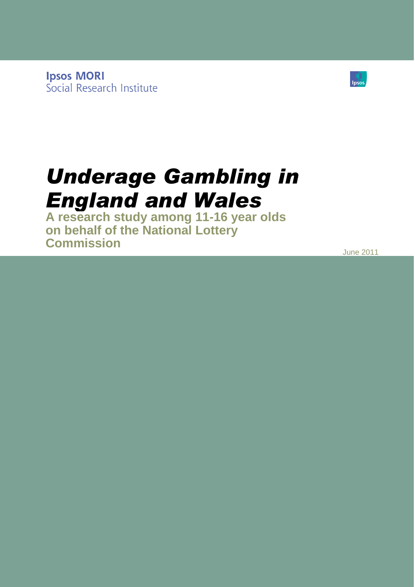**Ipsos MORI** Social Research Institute



# *Underage Gambling in England and Wales*

**A research study among 11-16 year olds on behalf of the National Lottery Commission**

June 2011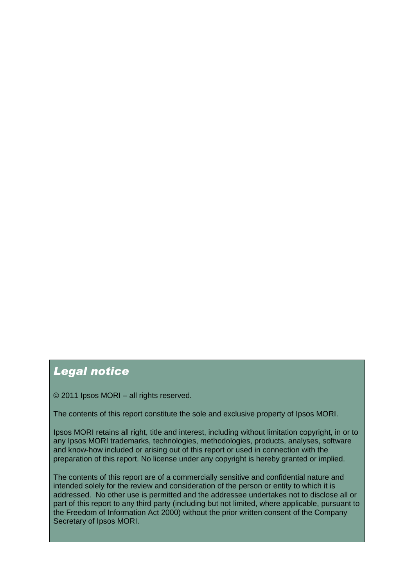### *Legal notice*

© 2011 Ipsos MORI – all rights reserved.

The contents of this report constitute the sole and exclusive property of Ipsos MORI.

Ipsos MORI retains all right, title and interest, including without limitation copyright, in or to any Ipsos MORI trademarks, technologies, methodologies, products, analyses, software and know-how included or arising out of this report or used in connection with the preparation of this report. No license under any copyright is hereby granted or implied.

The contents of this report are of a commercially sensitive and confidential nature and intended solely for the review and consideration of the person or entity to which it is addressed. No other use is permitted and the addressee undertakes not to disclose all or part of this report to any third party (including but not limited, where applicable, pursuant to the Freedom of Information Act 2000) without the prior written consent of the Company Secretary of Ipsos MORI.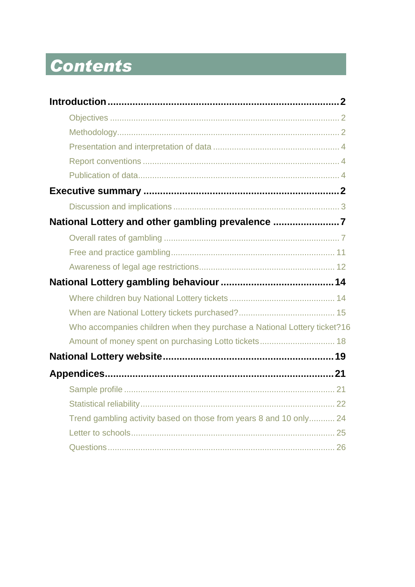# Contents

| National Lottery and other gambling prevalence 7                         |  |
|--------------------------------------------------------------------------|--|
|                                                                          |  |
|                                                                          |  |
|                                                                          |  |
|                                                                          |  |
|                                                                          |  |
|                                                                          |  |
| Who accompanies children when they purchase a National Lottery ticket?16 |  |
| Amount of money spent on purchasing Lotto tickets 18                     |  |
|                                                                          |  |
|                                                                          |  |
|                                                                          |  |
|                                                                          |  |
| Trend gambling activity based on those from years 8 and 10 only 24       |  |
|                                                                          |  |
|                                                                          |  |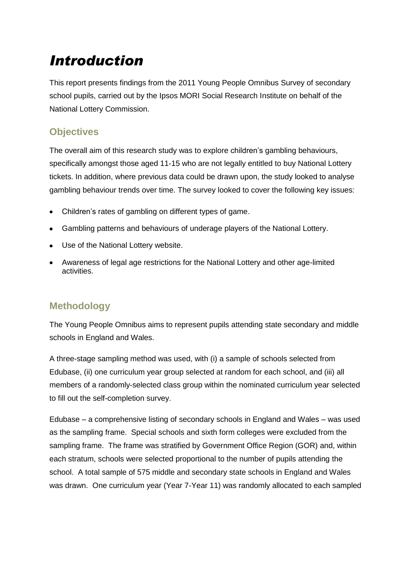# <span id="page-3-0"></span>*Introduction*

This report presents findings from the 2011 Young People Omnibus Survey of secondary school pupils, carried out by the Ipsos MORI Social Research Institute on behalf of the National Lottery Commission.

#### <span id="page-3-1"></span>**Objectives**

The overall aim of this research study was to explore children"s gambling behaviours, specifically amongst those aged 11-15 who are not legally entitled to buy National Lottery tickets. In addition, where previous data could be drawn upon, the study looked to analyse gambling behaviour trends over time. The survey looked to cover the following key issues:

- Children"s rates of gambling on different types of game.  $\bullet$
- Gambling patterns and behaviours of underage players of the National Lottery.
- Use of the National Lottery website.
- Awareness of legal age restrictions for the National Lottery and other age-limited activities.

### <span id="page-3-2"></span>**Methodology**

The Young People Omnibus aims to represent pupils attending state secondary and middle schools in England and Wales.

A three-stage sampling method was used, with (i) a sample of schools selected from Edubase, (ii) one curriculum year group selected at random for each school, and (iii) all members of a randomly-selected class group within the nominated curriculum year selected to fill out the self-completion survey.

Edubase – a comprehensive listing of secondary schools in England and Wales – was used as the sampling frame. Special schools and sixth form colleges were excluded from the sampling frame. The frame was stratified by Government Office Region (GOR) and, within each stratum, schools were selected proportional to the number of pupils attending the school. A total sample of 575 middle and secondary state schools in England and Wales was drawn. One curriculum year (Year 7-Year 11) was randomly allocated to each sampled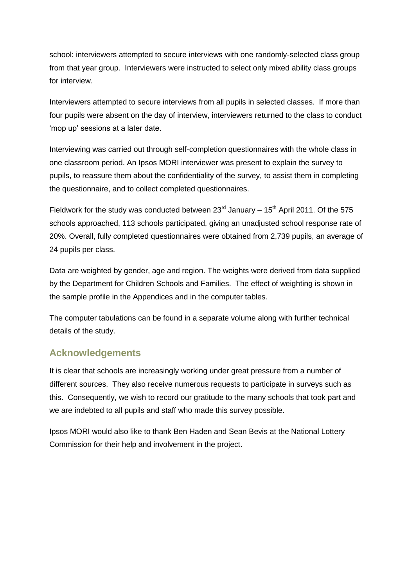school: interviewers attempted to secure interviews with one randomly-selected class group from that year group. Interviewers were instructed to select only mixed ability class groups for interview.

Interviewers attempted to secure interviews from all pupils in selected classes. If more than four pupils were absent on the day of interview, interviewers returned to the class to conduct 'mop up' sessions at a later date.

Interviewing was carried out through self-completion questionnaires with the whole class in one classroom period. An Ipsos MORI interviewer was present to explain the survey to pupils, to reassure them about the confidentiality of the survey, to assist them in completing the questionnaire, and to collect completed questionnaires.

Fieldwork for the study was conducted between  $23^{\text{rd}}$  January – 15<sup>th</sup> April 2011. Of the 575 schools approached, 113 schools participated, giving an unadjusted school response rate of 20%. Overall, fully completed questionnaires were obtained from 2,739 pupils, an average of 24 pupils per class.

Data are weighted by gender, age and region. The weights were derived from data supplied by the Department for Children Schools and Families. The effect of weighting is shown in the sample profile in the Appendices and in the computer tables.

The computer tabulations can be found in a separate volume along with further technical details of the study.

#### **Acknowledgements**

It is clear that schools are increasingly working under great pressure from a number of different sources. They also receive numerous requests to participate in surveys such as this. Consequently, we wish to record our gratitude to the many schools that took part and we are indebted to all pupils and staff who made this survey possible.

Ipsos MORI would also like to thank Ben Haden and Sean Bevis at the National Lottery Commission for their help and involvement in the project.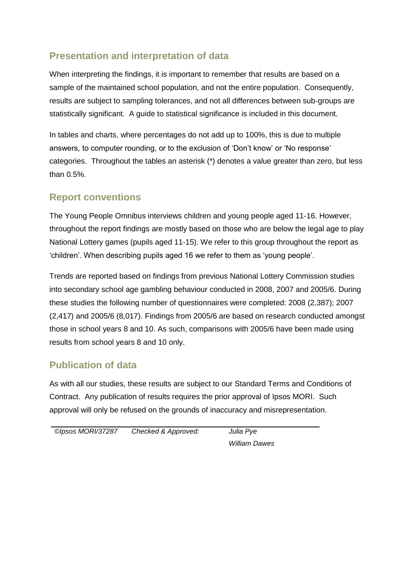### <span id="page-5-0"></span>**Presentation and interpretation of data**

When interpreting the findings, it is important to remember that results are based on a sample of the maintained school population, and not the entire population. Consequently, results are subject to sampling tolerances, and not all differences between sub-groups are statistically significant. A guide to statistical significance is included in this document.

In tables and charts, where percentages do not add up to 100%, this is due to multiple answers, to computer rounding, or to the exclusion of "Don"t know" or "No response" categories. Throughout the tables an asterisk (\*) denotes a value greater than zero, but less than 0.5%.

#### <span id="page-5-1"></span>**Report conventions**

The Young People Omnibus interviews children and young people aged 11-16. However, throughout the report findings are mostly based on those who are below the legal age to play National Lottery games (pupils aged 11-15). We refer to this group throughout the report as "children". When describing pupils aged 16 we refer to them as "young people".

Trends are reported based on findings from previous National Lottery Commission studies into secondary school age gambling behaviour conducted in 2008, 2007 and 2005/6. During these studies the following number of questionnaires were completed: 2008 (2,387); 2007 (2,417) and 2005/6 (8,017). Findings from 2005/6 are based on research conducted amongst those in school years 8 and 10. As such, comparisons with 2005/6 have been made using results from school years 8 and 10 only.

#### <span id="page-5-2"></span>**Publication of data**

As with all our studies, these results are subject to our Standard Terms and Conditions of Contract. Any publication of results requires the prior approval of Ipsos MORI. Such approval will only be refused on the grounds of inaccuracy and misrepresentation.

| ©Ipsos MORI/37287 | Checked & Approved: |
|-------------------|---------------------|
|                   |                     |

*©Ipsos MORI/37287 Checked & Approved: Julia Pye William Dawes*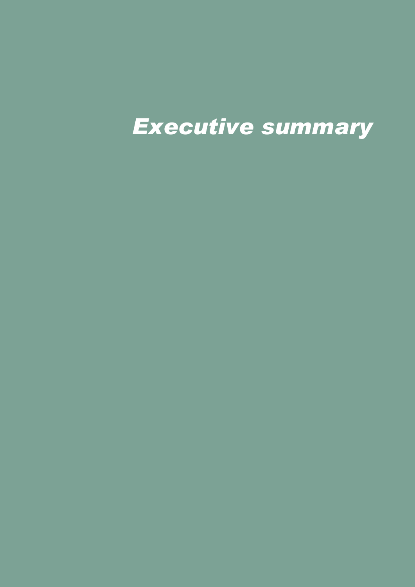# *Executive summary*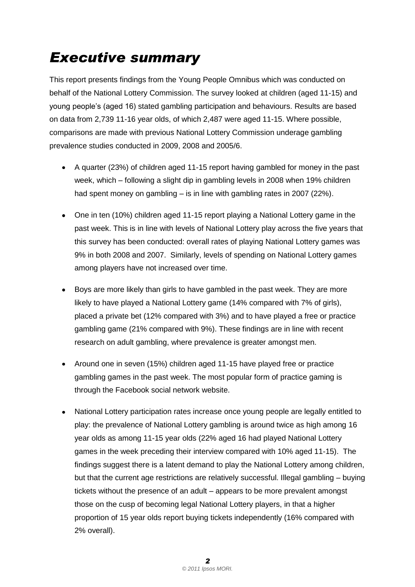# <span id="page-7-0"></span>*Executive summary*

This report presents findings from the Young People Omnibus which was conducted on behalf of the National Lottery Commission. The survey looked at children (aged 11-15) and young people"s (aged 16) stated gambling participation and behaviours. Results are based on data from 2,739 11-16 year olds, of which 2,487 were aged 11-15. Where possible, comparisons are made with previous National Lottery Commission underage gambling prevalence studies conducted in 2009, 2008 and 2005/6.

- A quarter (23%) of children aged 11-15 report having gambled for money in the past week, which – following a slight dip in gambling levels in 2008 when 19% children had spent money on gambling – is in line with gambling rates in 2007 (22%).
- One in ten (10%) children aged 11-15 report playing a National Lottery game in the past week. This is in line with levels of National Lottery play across the five years that this survey has been conducted: overall rates of playing National Lottery games was 9% in both 2008 and 2007. Similarly, levels of spending on National Lottery games among players have not increased over time.
- Boys are more likely than girls to have gambled in the past week. They are more likely to have played a National Lottery game (14% compared with 7% of girls), placed a private bet (12% compared with 3%) and to have played a free or practice gambling game (21% compared with 9%). These findings are in line with recent research on adult gambling, where prevalence is greater amongst men.
- Around one in seven (15%) children aged 11-15 have played free or practice gambling games in the past week. The most popular form of practice gaming is through the Facebook social network website.
- National Lottery participation rates increase once young people are legally entitled to  $\bullet$ play: the prevalence of National Lottery gambling is around twice as high among 16 year olds as among 11-15 year olds (22% aged 16 had played National Lottery games in the week preceding their interview compared with 10% aged 11-15). The findings suggest there is a latent demand to play the National Lottery among children, but that the current age restrictions are relatively successful. Illegal gambling – buying tickets without the presence of an adult – appears to be more prevalent amongst those on the cusp of becoming legal National Lottery players, in that a higher proportion of 15 year olds report buying tickets independently (16% compared with 2% overall).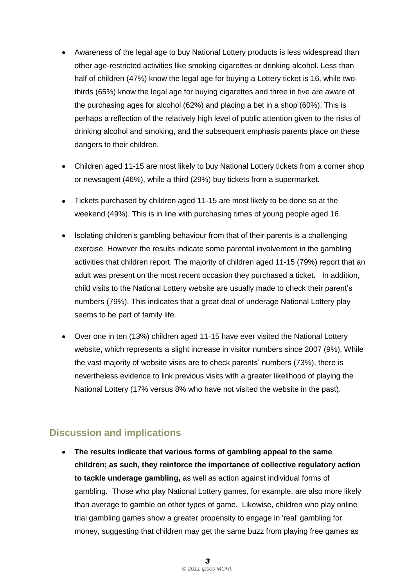- Awareness of the legal age to buy National Lottery products is less widespread than other age-restricted activities like smoking cigarettes or drinking alcohol. Less than half of children (47%) know the legal age for buying a Lottery ticket is 16, while twothirds (65%) know the legal age for buying cigarettes and three in five are aware of the purchasing ages for alcohol (62%) and placing a bet in a shop (60%). This is perhaps a reflection of the relatively high level of public attention given to the risks of drinking alcohol and smoking, and the subsequent emphasis parents place on these dangers to their children.
- Children aged 11-15 are most likely to buy National Lottery tickets from a corner shop or newsagent (46%), while a third (29%) buy tickets from a supermarket.
- Tickets purchased by children aged 11-15 are most likely to be done so at the weekend (49%). This is in line with purchasing times of young people aged 16.
- Isolating children's gambling behaviour from that of their parents is a challenging exercise. However the results indicate some parental involvement in the gambling activities that children report. The majority of children aged 11-15 (79%) report that an adult was present on the most recent occasion they purchased a ticket. In addition, child visits to the National Lottery website are usually made to check their parent"s numbers (79%). This indicates that a great deal of underage National Lottery play seems to be part of family life.
- Over one in ten (13%) children aged 11-15 have ever visited the National Lottery website, which represents a slight increase in visitor numbers since 2007 (9%). While the vast majority of website visits are to check parents" numbers (73%), there is nevertheless evidence to link previous visits with a greater likelihood of playing the National Lottery (17% versus 8% who have not visited the website in the past).

#### <span id="page-8-0"></span>**Discussion and implications**

**The results indicate that various forms of gambling appeal to the same children; as such, they reinforce the importance of collective regulatory action to tackle underage gambling,** as well as action against individual forms of gambling. Those who play National Lottery games, for example, are also more likely than average to gamble on other types of game. Likewise, children who play online trial gambling games show a greater propensity to engage in 'real' gambling for money, suggesting that children may get the same buzz from playing free games as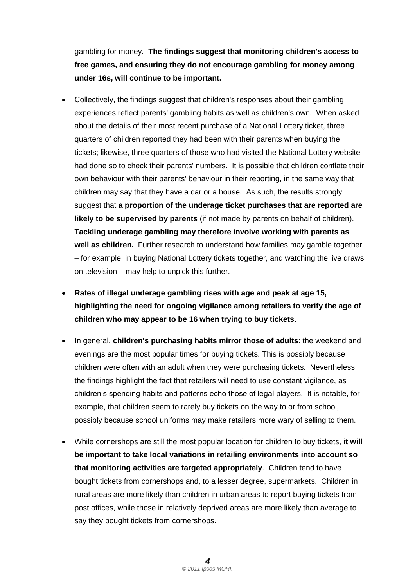gambling for money. **The findings suggest that monitoring children's access to free games, and ensuring they do not encourage gambling for money among under 16s, will continue to be important.**

- Collectively, the findings suggest that children's responses about their gambling experiences reflect parents' gambling habits as well as children's own. When asked about the details of their most recent purchase of a National Lottery ticket, three quarters of children reported they had been with their parents when buying the tickets; likewise, three quarters of those who had visited the National Lottery website had done so to check their parents' numbers. It is possible that children conflate their own behaviour with their parents' behaviour in their reporting, in the same way that children may say that they have a car or a house. As such, the results strongly suggest that **a proportion of the underage ticket purchases that are reported are likely to be supervised by parents** (if not made by parents on behalf of children). **Tackling underage gambling may therefore involve working with parents as well as children.** Further research to understand how families may gamble together – for example, in buying National Lottery tickets together, and watching the live draws on television – may help to unpick this further.
- **Rates of illegal underage gambling rises with age and peak at age 15, highlighting the need for ongoing vigilance among retailers to verify the age of children who may appear to be 16 when trying to buy tickets**.
- In general, **children's purchasing habits mirror those of adults**: the weekend and evenings are the most popular times for buying tickets. This is possibly because children were often with an adult when they were purchasing tickets. Nevertheless the findings highlight the fact that retailers will need to use constant vigilance, as children"s spending habits and patterns echo those of legal players. It is notable, for example, that children seem to rarely buy tickets on the way to or from school, possibly because school uniforms may make retailers more wary of selling to them.
- While cornershops are still the most popular location for children to buy tickets, **it will be important to take local variations in retailing environments into account so that monitoring activities are targeted appropriately**. Children tend to have bought tickets from cornershops and, to a lesser degree, supermarkets. Children in rural areas are more likely than children in urban areas to report buying tickets from post offices, while those in relatively deprived areas are more likely than average to say they bought tickets from cornershops.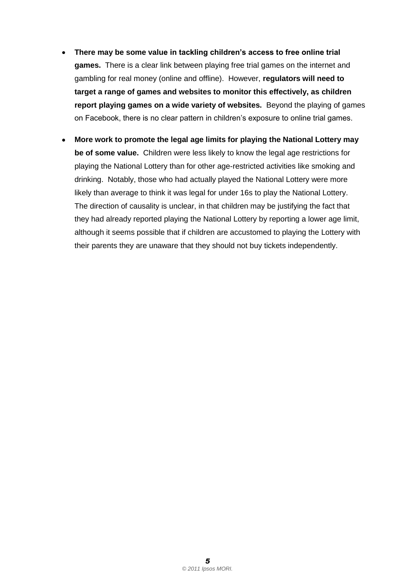- **There may be some value in tackling children's access to free online trial**   $\bullet$ **games.** There is a clear link between playing free trial games on the internet and gambling for real money (online and offline). However, **regulators will need to target a range of games and websites to monitor this effectively, as children report playing games on a wide variety of websites.** Beyond the playing of games on Facebook, there is no clear pattern in children"s exposure to online trial games.
- **More work to promote the legal age limits for playing the National Lottery may**   $\bullet$ **be of some value.** Children were less likely to know the legal age restrictions for playing the National Lottery than for other age-restricted activities like smoking and drinking. Notably, those who had actually played the National Lottery were more likely than average to think it was legal for under 16s to play the National Lottery. The direction of causality is unclear, in that children may be justifying the fact that they had already reported playing the National Lottery by reporting a lower age limit, although it seems possible that if children are accustomed to playing the Lottery with their parents they are unaware that they should not buy tickets independently.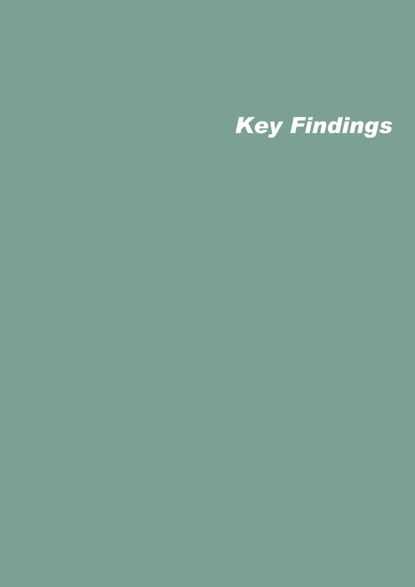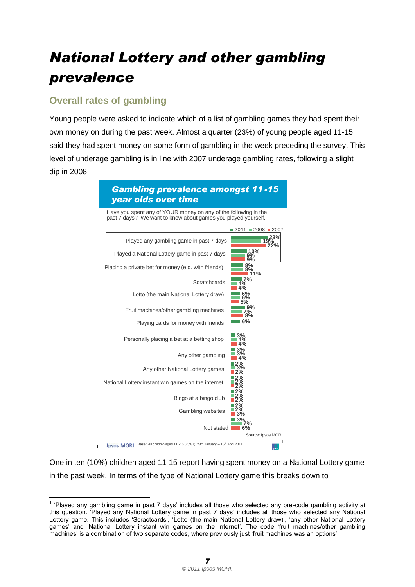# <span id="page-12-0"></span>*National Lottery and other gambling prevalence*

### <span id="page-12-1"></span>**Overall rates of gambling**

Young people were asked to indicate which of a list of gambling games they had spent their own money on during the past week. Almost a quarter (23%) of young people aged 11-15 said they had spent money on some form of gambling in the week preceding the survey. This level of underage gambling is in line with 2007 underage gambling rates, following a slight dip in 2008.



One in ten (10%) children aged 11-15 report having spent money on a National Lottery game in the past week. In terms of the type of National Lottery game this breaks down to

 $\overline{a}$ <sup>1</sup> 'Played any gambling game in past 7 days' includes all those who selected any pre-code gambling activity at this question. "Played any National Lottery game in past 7 days" includes all those who selected any National Lottery game. This includes 'Scractcards', 'Lotto (the main National Lottery draw)', 'any other National Lottery games' and 'National Lottery instant win games on the internet'. The code 'fruit machines/other gambling machines' is a combination of two separate codes, where previously just 'fruit machines was an options'.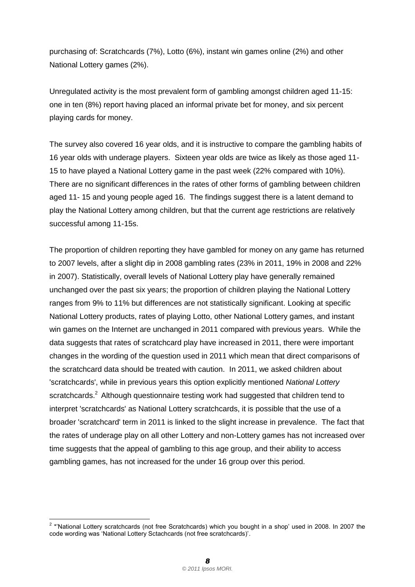purchasing of: Scratchcards (7%), Lotto (6%), instant win games online (2%) and other National Lottery games (2%).

Unregulated activity is the most prevalent form of gambling amongst children aged 11-15: one in ten (8%) report having placed an informal private bet for money, and six percent playing cards for money.

The survey also covered 16 year olds, and it is instructive to compare the gambling habits of 16 year olds with underage players. Sixteen year olds are twice as likely as those aged 11- 15 to have played a National Lottery game in the past week (22% compared with 10%). There are no significant differences in the rates of other forms of gambling between children aged 11- 15 and young people aged 16. The findings suggest there is a latent demand to play the National Lottery among children, but that the current age restrictions are relatively successful among 11-15s.

The proportion of children reporting they have gambled for money on any game has returned to 2007 levels, after a slight dip in 2008 gambling rates (23% in 2011, 19% in 2008 and 22% in 2007). Statistically, overall levels of National Lottery play have generally remained unchanged over the past six years; the proportion of children playing the National Lottery ranges from 9% to 11% but differences are not statistically significant. Looking at specific National Lottery products, rates of playing Lotto, other National Lottery games, and instant win games on the Internet are unchanged in 2011 compared with previous years. While the data suggests that rates of scratchcard play have increased in 2011, there were important changes in the wording of the question used in 2011 which mean that direct comparisons of the scratchcard data should be treated with caution. In 2011, we asked children about 'scratchcards', while in previous years this option explicitly mentioned *National Lottery* scratchcards.<sup>2</sup> Although questionnaire testing work had suggested that children tend to interpret 'scratchcards' as National Lottery scratchcards, it is possible that the use of a broader 'scratchcard' term in 2011 is linked to the slight increase in prevalence. The fact that the rates of underage play on all other Lottery and non-Lottery games has not increased over time suggests that the appeal of gambling to this age group, and their ability to access gambling games, has not increased for the under 16 group over this period.

 2 \*"National Lottery scratchcards (not free Scratchcards) which you bought in a shop" used in 2008. In 2007 the code wording was "National Lottery Sctachcards (not free scratchcards)".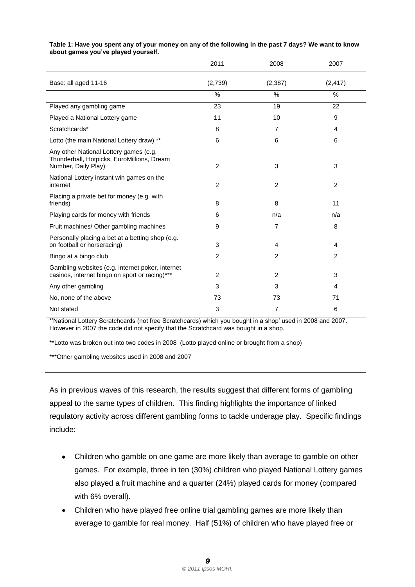|                                                                                                             | 2011           | 2008           | 2007     |
|-------------------------------------------------------------------------------------------------------------|----------------|----------------|----------|
| Base: all aged 11-16                                                                                        | (2,739)        | (2, 387)       | (2, 417) |
|                                                                                                             | %              | %              | %        |
| Played any gambling game                                                                                    | 23             | 19             | 22       |
| Played a National Lottery game                                                                              | 11             | 10             | 9        |
| Scratchcards*                                                                                               | 8              | $\overline{7}$ | 4        |
| Lotto (the main National Lottery draw) **                                                                   | 6              | 6              | 6        |
| Any other National Lottery games (e.g.<br>Thunderball, Hotpicks, EuroMillions, Dream<br>Number, Daily Play) | $\overline{2}$ | 3              | 3        |
| National Lottery instant win games on the<br>internet                                                       | $\overline{2}$ | 2              | 2        |
| Placing a private bet for money (e.g. with<br>friends)                                                      | 8              | 8              | 11       |
| Playing cards for money with friends                                                                        | 6              | n/a            | n/a      |
| Fruit machines/ Other gambling machines                                                                     | 9              | $\overline{7}$ | 8        |
| Personally placing a bet at a betting shop (e.g.<br>on football or horseracing)                             | 3              | 4              | 4        |
| Bingo at a bingo club                                                                                       | $\overline{2}$ | 2              | 2        |
| Gambling websites (e.g. internet poker, internet<br>casinos, internet bingo on sport or racing)***          | 2              | 2              | 3        |
| Any other gambling                                                                                          | 3              | 3              | 4        |
| No, none of the above                                                                                       | 73             | 73             | 71       |
| Not stated                                                                                                  | 3              | $\overline{7}$ | 6        |

#### **Table 1: Have you spent any of your money on any of the following in the past 7 days? We want to know about games you've played yourself.**

\*"National Lottery Scratchcards (not free Scratchcards) which you bought in a shop" used in 2008 and 2007. However in 2007 the code did not specify that the Scratchcard was bought in a shop.

\*\*Lotto was broken out into two codes in 2008 (Lotto played online or brought from a shop)

\*\*\*Other gambling websites used in 2008 and 2007

As in previous waves of this research, the results suggest that different forms of gambling appeal to the same types of children. This finding highlights the importance of linked regulatory activity across different gambling forms to tackle underage play. Specific findings include:

- Children who gamble on one game are more likely than average to gamble on other  $\bullet$ games. For example, three in ten (30%) children who played National Lottery games also played a fruit machine and a quarter (24%) played cards for money (compared with 6% overall).
- Children who have played free online trial gambling games are more likely than average to gamble for real money. Half (51%) of children who have played free or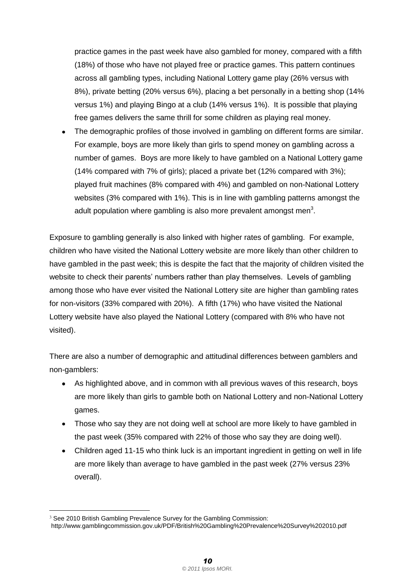practice games in the past week have also gambled for money, compared with a fifth (18%) of those who have not played free or practice games. This pattern continues across all gambling types, including National Lottery game play (26% versus with 8%), private betting (20% versus 6%), placing a bet personally in a betting shop (14% versus 1%) and playing Bingo at a club (14% versus 1%). It is possible that playing free games delivers the same thrill for some children as playing real money.

• The demographic profiles of those involved in gambling on different forms are similar. For example, boys are more likely than girls to spend money on gambling across a number of games. Boys are more likely to have gambled on a National Lottery game (14% compared with 7% of girls); placed a private bet (12% compared with 3%); played fruit machines (8% compared with 4%) and gambled on non-National Lottery websites (3% compared with 1%). This is in line with gambling patterns amongst the adult population where gambling is also more prevalent amongst men<sup>3</sup>.

Exposure to gambling generally is also linked with higher rates of gambling. For example, children who have visited the National Lottery website are more likely than other children to have gambled in the past week; this is despite the fact that the majority of children visited the website to check their parents' numbers rather than play themselves. Levels of gambling among those who have ever visited the National Lottery site are higher than gambling rates for non-visitors (33% compared with 20%). A fifth (17%) who have visited the National Lottery website have also played the National Lottery (compared with 8% who have not visited).

There are also a number of demographic and attitudinal differences between gamblers and non-gamblers:

- As highlighted above, and in common with all previous waves of this research, boys are more likely than girls to gamble both on National Lottery and non-National Lottery games.
- Those who say they are not doing well at school are more likely to have gambled in the past week (35% compared with 22% of those who say they are doing well).
- Children aged 11-15 who think luck is an important ingredient in getting on well in life are more likely than average to have gambled in the past week (27% versus 23% overall).

 $\overline{a}$ <sup>3</sup> See 2010 British Gambling Prevalence Survey for the Gambling Commission:

http://www.gamblingcommission.gov.uk/PDF/British%20Gambling%20Prevalence%20Survey%202010.pdf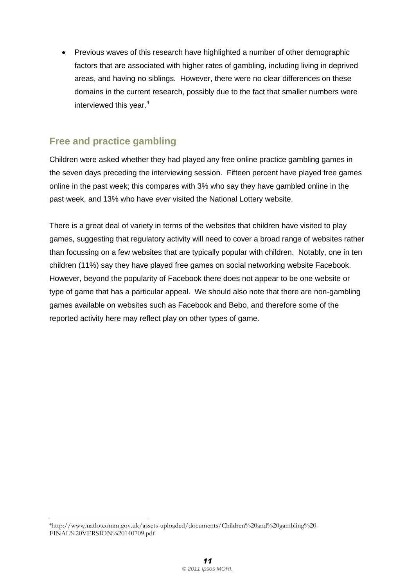• Previous waves of this research have highlighted a number of other demographic factors that are associated with higher rates of gambling, including living in deprived areas, and having no siblings. However, there were no clear differences on these domains in the current research, possibly due to the fact that smaller numbers were interviewed this year.<sup>4</sup>

### <span id="page-16-0"></span>**Free and practice gambling**

Children were asked whether they had played any free online practice gambling games in the seven days preceding the interviewing session. Fifteen percent have played free games online in the past week; this compares with 3% who say they have gambled online in the past week, and 13% who have *ever* visited the National Lottery website.

There is a great deal of variety in terms of the websites that children have visited to play games, suggesting that regulatory activity will need to cover a broad range of websites rather than focussing on a few websites that are typically popular with children. Notably, one in ten children (11%) say they have played free games on social networking website Facebook. However, beyond the popularity of Facebook there does not appear to be one website or type of game that has a particular appeal. We should also note that there are non-gambling games available on websites such as Facebook and Bebo, and therefore some of the reported activity here may reflect play on other types of game.

 $\overline{a}$ <sup>4</sup>http://www.natlotcomm.gov.uk/assets-uploaded/documents/Children%20and%20gambling%20- FINAL%20VERSION%20140709.pdf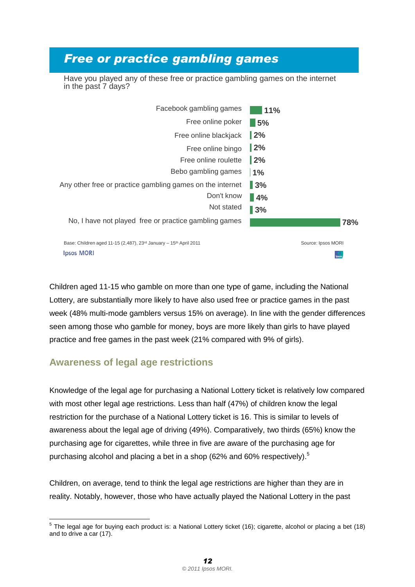# *Free or practice gambling games*

Have you played any of these free or practice gambling games on the internet in the past 7 days?

| Facebook gambling games                                                                   | 11%                |
|-------------------------------------------------------------------------------------------|--------------------|
| Free online poker                                                                         | $\blacksquare$ 5%  |
| Free online blackjack                                                                     | $\frac{12}{6}$     |
| Free online bingo                                                                         | $\vert$ 2%         |
| Free online roulette                                                                      | 12%                |
| Bebo gambling games                                                                       | 1%                 |
| Any other free or practice gambling games on the internet                                 | $\blacksquare$ 3%  |
| Don't know                                                                                | 4%                 |
| Not stated                                                                                | 3%                 |
| No, I have not played free or practice gambling games                                     | 78%                |
| Base: Children aged 11-15 (2,487), 23 <sup>rd</sup> January - 15 <sup>th</sup> April 2011 | Source: Ipsos MORI |
| <b>Ipsos MORI</b>                                                                         |                    |

Children aged 11-15 who gamble on more than one type of game, including the National Lottery, are substantially more likely to have also used free or practice games in the past week (48% multi-mode gamblers versus 15% on average). In line with the gender differences seen among those who gamble for money, boys are more likely than girls to have played practice and free games in the past week (21% compared with 9% of girls).

#### <span id="page-17-0"></span>**Awareness of legal age restrictions**

Knowledge of the legal age for purchasing a National Lottery ticket is relatively low compared with most other legal age restrictions. Less than half (47%) of children know the legal restriction for the purchase of a National Lottery ticket is 16. This is similar to levels of awareness about the legal age of driving (49%). Comparatively, two thirds (65%) know the purchasing age for cigarettes, while three in five are aware of the purchasing age for purchasing alcohol and placing a bet in a shop (62% and 60% respectively).<sup>5</sup>

Children, on average, tend to think the legal age restrictions are higher than they are in reality. Notably, however, those who have actually played the National Lottery in the past

<sup>————————————————————&</sup>lt;br><sup>5</sup> The legal age for buying each product is: a National Lottery ticket (16); cigarette, alcohol or placing a bet (18) and to drive a car (17).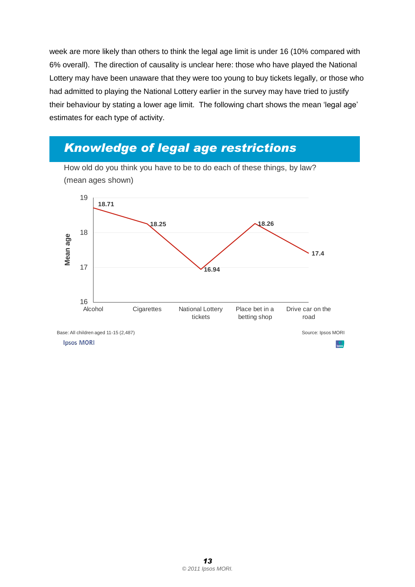week are more likely than others to think the legal age limit is under 16 (10% compared with 6% overall). The direction of causality is unclear here: those who have played the National Lottery may have been unaware that they were too young to buy tickets legally, or those who had admitted to playing the National Lottery earlier in the survey may have tried to justify their behaviour by stating a lower age limit. The following chart shows the mean "legal age" estimates for each type of activity.

## *Knowledge of legal age restrictions*



How old do you think you have to be to do each of these things, by law? (mean ages shown)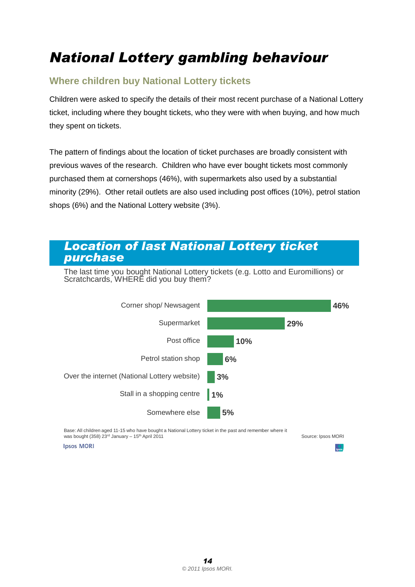# <span id="page-19-0"></span>*National Lottery gambling behaviour*

### <span id="page-19-1"></span>**Where children buy National Lottery tickets**

Children were asked to specify the details of their most recent purchase of a National Lottery ticket, including where they bought tickets, who they were with when buying, and how much they spent on tickets.

The pattern of findings about the location of ticket purchases are broadly consistent with previous waves of the research. Children who have ever bought tickets most commonly purchased them at cornershops (46%), with supermarkets also used by a substantial minority (29%). Other retail outlets are also used including post offices (10%), petrol station shops (6%) and the National Lottery website (3%).

#### *Location of last National Lottery ticket purchase*

The last time you bought National Lottery tickets (e.g. Lotto and Euromillions) or Scratchcards, WHERE did you buy them?



Base: All children aged 11-15 who have bought a National Lottery ticket in the past and remember where it was bought (358) 23rd January - 15<sup>th</sup> April 2011

Source: Ipsos MORI

**Ipsos MORI**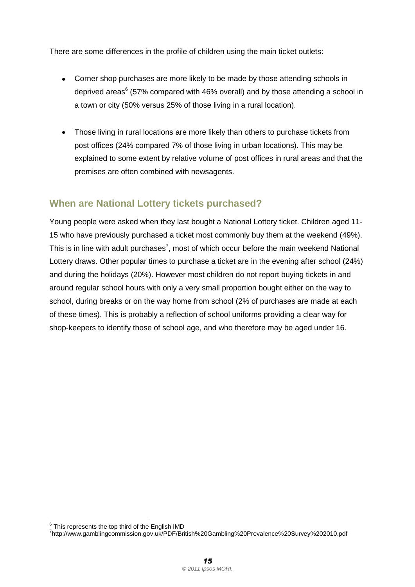There are some differences in the profile of children using the main ticket outlets:

- Corner shop purchases are more likely to be made by those attending schools in deprived areas<sup>6</sup> (57% compared with 46% overall) and by those attending a school in a town or city (50% versus 25% of those living in a rural location).
- Those living in rural locations are more likely than others to purchase tickets from post offices (24% compared 7% of those living in urban locations). This may be explained to some extent by relative volume of post offices in rural areas and that the premises are often combined with newsagents.

#### <span id="page-20-0"></span>**When are National Lottery tickets purchased?**

Young people were asked when they last bought a National Lottery ticket. Children aged 11- 15 who have previously purchased a ticket most commonly buy them at the weekend (49%). This is in line with adult purchases<sup>7</sup>, most of which occur before the main weekend National Lottery draws. Other popular times to purchase a ticket are in the evening after school (24%) and during the holidays (20%). However most children do not report buying tickets in and around regular school hours with only a very small proportion bought either on the way to school, during breaks or on the way home from school (2% of purchases are made at each of these times). This is probably a reflection of school uniforms providing a clear way for shop-keepers to identify those of school age, and who therefore may be aged under 16.

 $\overline{\phantom{a}}$ 

 $^6$  This represents the top third of the English IMD

<sup>7</sup> http://www.gamblingcommission.gov.uk/PDF/British%20Gambling%20Prevalence%20Survey%202010.pdf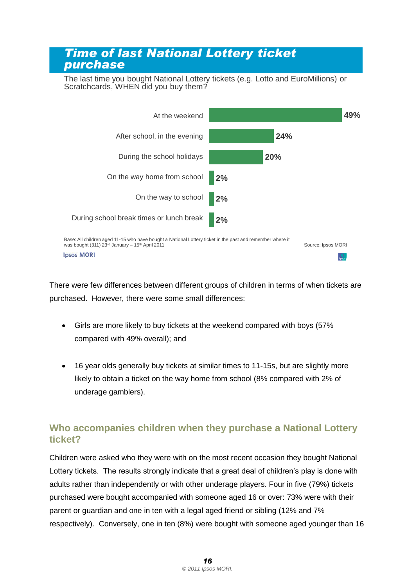### *Time of last National Lottery ticket purchase*

The last time you bought National Lottery tickets (e.g. Lotto and EuroMillions) or Scratchcards, WHEN did you buy them?



There were few differences between different groups of children in terms of when tickets are purchased. However, there were some small differences:

- Girls are more likely to buy tickets at the weekend compared with boys (57%  $\bullet$ compared with 49% overall); and
- 16 year olds generally buy tickets at similar times to 11-15s, but are slightly more likely to obtain a ticket on the way home from school (8% compared with 2% of underage gamblers).

#### <span id="page-21-0"></span>**Who accompanies children when they purchase a National Lottery ticket?**

Children were asked who they were with on the most recent occasion they bought National Lottery tickets. The results strongly indicate that a great deal of children"s play is done with adults rather than independently or with other underage players. Four in five (79%) tickets purchased were bought accompanied with someone aged 16 or over: 73% were with their parent or guardian and one in ten with a legal aged friend or sibling (12% and 7% respectively). Conversely, one in ten (8%) were bought with someone aged younger than 16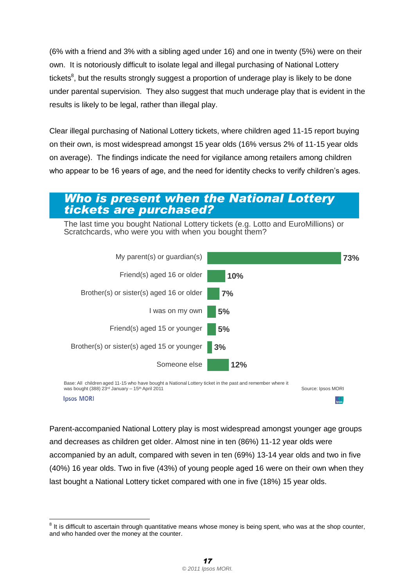(6% with a friend and 3% with a sibling aged under 16) and one in twenty (5%) were on their own. It is notoriously difficult to isolate legal and illegal purchasing of National Lottery tickets<sup>8</sup>, but the results strongly suggest a proportion of underage play is likely to be done under parental supervision. They also suggest that much underage play that is evident in the results is likely to be legal, rather than illegal play.

Clear illegal purchasing of National Lottery tickets, where children aged 11-15 report buying on their own, is most widespread amongst 15 year olds (16% versus 2% of 11-15 year olds on average). The findings indicate the need for vigilance among retailers among children who appear to be 16 years of age, and the need for identity checks to verify children's ages.

#### *Who is present when the National Lottery tickets are purchased?*

The last time you bought National Lottery tickets (e.g. Lotto and EuroMillions) or Scratchcards, who were you with when you bought them?





Parent-accompanied National Lottery play is most widespread amongst younger age groups and decreases as children get older. Almost nine in ten (86%) 11-12 year olds were accompanied by an adult, compared with seven in ten (69%) 13-14 year olds and two in five (40%) 16 year olds. Two in five (43%) of young people aged 16 were on their own when they last bought a National Lottery ticket compared with one in five (18%) 15 year olds.

 $\overline{\phantom{a}}$ 

 $8$  It is difficult to ascertain through quantitative means whose money is being spent, who was at the shop counter, and who handed over the money at the counter.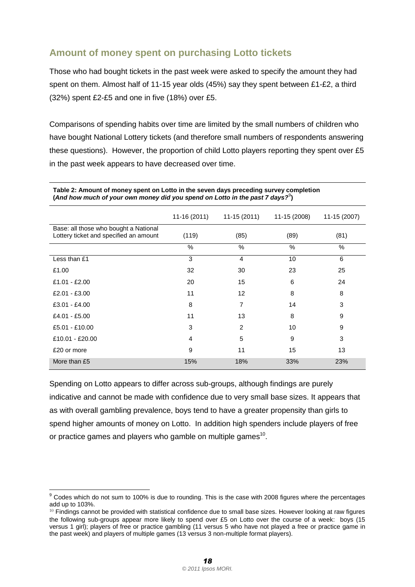### <span id="page-23-0"></span>**Amount of money spent on purchasing Lotto tickets**

Those who had bought tickets in the past week were asked to specify the amount they had spent on them. Almost half of 11-15 year olds (45%) say they spent between £1-£2, a third (32%) spent £2-£5 and one in five (18%) over £5.

Comparisons of spending habits over time are limited by the small numbers of children who have bought National Lottery tickets (and therefore small numbers of respondents answering these questions). However, the proportion of child Lotto players reporting they spent over £5 in the past week appears to have decreased over time.

|                                                                                 | $11-16(2011)$ | $11-15(2011)$  | 11-15 (2008) | 11-15 (2007) |
|---------------------------------------------------------------------------------|---------------|----------------|--------------|--------------|
| Base: all those who bought a National<br>Lottery ticket and specified an amount | (119)         | (85)           | (89)         | (81)         |
|                                                                                 | $\%$          | $\%$           | $\%$         | $\%$         |
| Less than £1                                                                    | 3             | $\overline{4}$ | 10           | 6            |
| £1.00                                                                           | 32            | 30             | 23           | 25           |
| £1.01 - £2.00                                                                   | 20            | 15             | 6            | 24           |
| £2.01 - £3.00                                                                   | 11            | 12             | 8            | 8            |
| $£3.01 - £4.00$                                                                 | 8             | 7              | 14           | 3            |
| £4.01 - £5.00                                                                   | 11            | 13             | 8            | 9            |
| £5.01 - £10.00                                                                  | 3             | $\overline{2}$ | 10           | 9            |
| £10.01 - £20.00                                                                 | 4             | 5              | 9            | 3            |
| £20 or more                                                                     | 9             | 11             | 15           | 13           |
| More than £5                                                                    | 15%           | 18%            | 33%          | 23%          |

**Table 2: Amount of money spent on Lotto in the seven days preceding survey completion**  (And how much of your own money did you spend on Lotto in the past 7 days?<sup>9</sup>)

Spending on Lotto appears to differ across sub-groups, although findings are purely indicative and cannot be made with confidence due to very small base sizes. It appears that as with overall gambling prevalence, boys tend to have a greater propensity than girls to spend higher amounts of money on Lotto. In addition high spenders include players of free or practice games and players who gamble on multiple games $^{\text{10}}$ .

 $\overline{a}$  $9$  Codes which do not sum to 100% is due to rounding. This is the case with 2008 figures where the percentages add up to 103%.

 $10$  Findings cannot be provided with statistical confidence due to small base sizes. However looking at raw figures the following sub-groups appear more likely to spend over £5 on Lotto over the course of a week: boys (15 versus 1 girl); players of free or practice gambling (11 versus 5 who have not played a free or practice game in the past week) and players of multiple games (13 versus 3 non-multiple format players).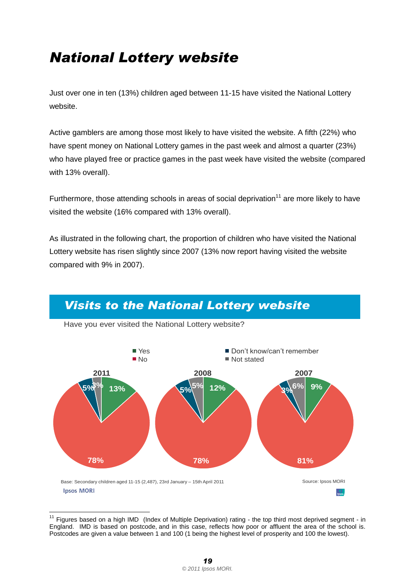# <span id="page-24-0"></span>*National Lottery website*

Just over one in ten (13%) children aged between 11-15 have visited the National Lottery website.

Active gamblers are among those most likely to have visited the website. A fifth (22%) who have spent money on National Lottery games in the past week and almost a quarter (23%) who have played free or practice games in the past week have visited the website (compared with 13% overall).

Furthermore, those attending schools in areas of social deprivation<sup>11</sup> are more likely to have visited the website (16% compared with 13% overall).

As illustrated in the following chart, the proportion of children who have visited the National Lottery website has risen slightly since 2007 (13% now report having visited the website compared with 9% in 2007).



### *Visits to the National Lottery website*

 $\overline{a}$  $11$  Figures based on a high IMD (Index of Multiple Deprivation) rating - the top third most deprived segment - in England. IMD is based on postcode, and in this case, reflects how poor or affluent the area of the school is. Postcodes are given a value between 1 and 100 (1 being the highest level of prosperity and 100 the lowest).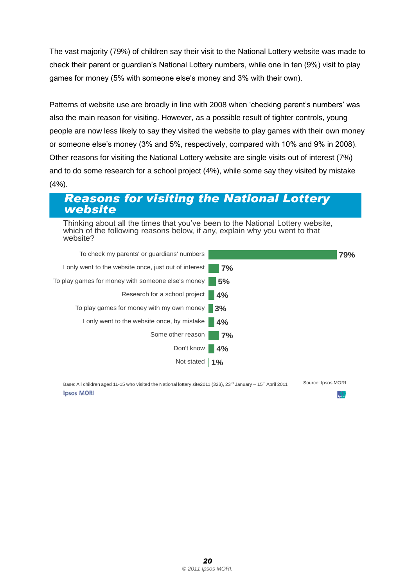The vast majority (79%) of children say their visit to the National Lottery website was made to check their parent or guardian"s National Lottery numbers, while one in ten (9%) visit to play games for money (5% with someone else"s money and 3% with their own).

Patterns of website use are broadly in line with 2008 when 'checking parent's numbers' was also the main reason for visiting. However, as a possible result of tighter controls, young people are now less likely to say they visited the website to play games with their own money or someone else"s money (3% and 5%, respectively, compared with 10% and 9% in 2008). Other reasons for visiting the National Lottery website are single visits out of interest (7%) and to do some research for a school project (4%), while some say they visited by mistake (4%).

### *Reasons for visiting the National Lottery website*

Thinking about all the times that you"ve been to the National Lottery website, which of the following reasons below, if any, explain why you went to that website?



Base: All children aged 11-15 who visited the National lottery site2011 (323), 23<sup>rd</sup> January – 15<sup>th</sup> April 2011 Source: Ipsos MORI **Ipsos MORI**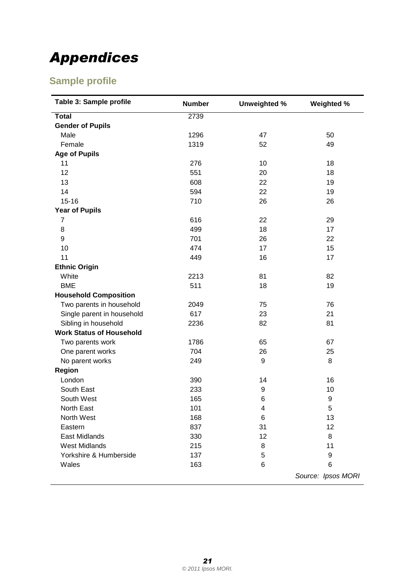# <span id="page-26-0"></span>*Appendices*

## <span id="page-26-1"></span>**Sample profile**

| Table 3: Sample profile         | <b>Number</b> | <b>Unweighted %</b> | Weighted %         |
|---------------------------------|---------------|---------------------|--------------------|
| <b>Total</b>                    | 2739          |                     |                    |
| <b>Gender of Pupils</b>         |               |                     |                    |
| Male                            | 1296          | 47                  | 50                 |
| Female                          | 1319          | 52                  | 49                 |
| <b>Age of Pupils</b>            |               |                     |                    |
| 11                              | 276           | 10                  | 18                 |
| 12                              | 551           | 20                  | 18                 |
| 13                              | 608           | 22                  | 19                 |
| 14                              | 594           | 22                  | 19                 |
| $15 - 16$                       | 710           | 26                  | 26                 |
| <b>Year of Pupils</b>           |               |                     |                    |
| $\overline{7}$                  | 616           | 22                  | 29                 |
| 8                               | 499           | 18                  | 17                 |
| 9                               | 701           | 26                  | 22                 |
| 10                              | 474           | 17                  | 15                 |
| 11                              | 449           | 16                  | 17                 |
| <b>Ethnic Origin</b>            |               |                     |                    |
| White                           | 2213          | 81                  | 82                 |
| <b>BME</b>                      | 511           | 18                  | 19                 |
| <b>Household Composition</b>    |               |                     |                    |
| Two parents in household        | 2049          | 75                  | 76                 |
| Single parent in household      | 617           | 23                  | 21                 |
| Sibling in household            | 2236          | 82                  | 81                 |
| <b>Work Status of Household</b> |               |                     |                    |
| Two parents work                | 1786          | 65                  | 67                 |
| One parent works                | 704           | 26                  | 25                 |
| No parent works                 | 249           | 9                   | 8                  |
| Region                          |               |                     |                    |
| London                          | 390           | 14                  | 16                 |
| South East                      | 233           | 9                   | 10                 |
| South West                      | 165           | 6                   | 9                  |
| North East                      | 101           | 4                   | 5                  |
| North West                      | 168           | 6                   | 13                 |
| Eastern                         | 837           | 31                  | 12                 |
| East Midlands                   | 330           | 12                  | 8                  |
| <b>West Midlands</b>            | 215           | 8                   | 11                 |
| Yorkshire & Humberside          | 137           | 5                   | 9                  |
| Wales                           | 163           | 6                   | 6                  |
|                                 |               |                     | Source: Ipsos MORI |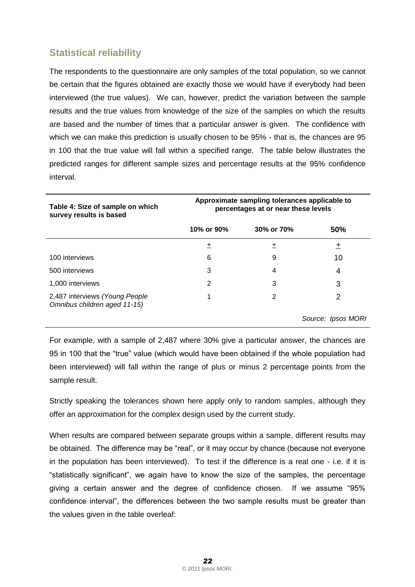### <span id="page-27-0"></span>**Statistical reliability**

The respondents to the questionnaire are only samples of the total population, so we cannot be certain that the figures obtained are exactly those we would have if everybody had been interviewed (the true values). We can, however, predict the variation between the sample results and the true values from knowledge of the size of the samples on which the results are based and the number of times that a particular answer is given. The confidence with which we can make this prediction is usually chosen to be 95% - that is, the chances are 95 in 100 that the true value will fall within a specified range. The table below illustrates the predicted ranges for different sample sizes and percentage results at the 95% confidence interval.

| Table 4: Size of sample on which<br>survey results is based    | Approximate sampling tolerances applicable to<br>percentages at or near these levels |            |                    |
|----------------------------------------------------------------|--------------------------------------------------------------------------------------|------------|--------------------|
|                                                                | 10% or 90%                                                                           | 30% or 70% | 50%                |
|                                                                | +                                                                                    | 土          | 土                  |
| 100 interviews                                                 | 6                                                                                    | 9          | 10                 |
| 500 interviews                                                 | 3                                                                                    | 4          | 4                  |
| 1,000 interviews                                               | 2                                                                                    | 3          | 3                  |
| 2,487 interviews (Young People<br>Omnibus children aged 11-15) |                                                                                      | 2          | 2                  |
|                                                                |                                                                                      |            | Source: Ipsos MORI |

For example, with a sample of 2,487 where 30% give a particular answer, the chances are 95 in 100 that the "true" value (which would have been obtained if the whole population had been interviewed) will fall within the range of plus or minus 2 percentage points from the sample result.

Strictly speaking the tolerances shown here apply only to random samples, although they offer an approximation for the complex design used by the current study.

When results are compared between separate groups within a sample, different results may be obtained. The difference may be "real", or it may occur by chance (because not everyone in the population has been interviewed). To test if the difference is a real one - i.e. if it is "statistically significant", we again have to know the size of the samples, the percentage giving a certain answer and the degree of confidence chosen. If we assume "95% confidence interval", the differences between the two sample results must be greater than the values given in the table overleaf: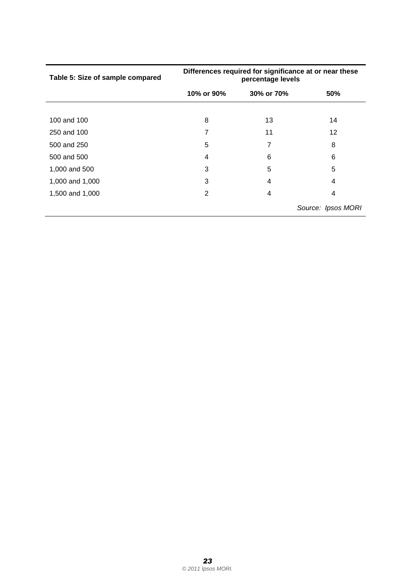| Table 5: Size of sample compared | Differences required for significance at or near these<br>percentage levels |            |                    |  |
|----------------------------------|-----------------------------------------------------------------------------|------------|--------------------|--|
|                                  | 10% or 90%                                                                  | 30% or 70% | 50%                |  |
| 100 and 100                      | 8                                                                           | 13         | 14                 |  |
| 250 and 100                      | 7                                                                           | 11         | 12                 |  |
| 500 and 250                      | 5                                                                           | 7          | 8                  |  |
| 500 and 500                      | 4                                                                           | 6          | 6                  |  |
| 1,000 and 500                    | 3                                                                           | 5          | 5                  |  |
| 1,000 and 1,000                  | 3                                                                           | 4          | 4                  |  |
| 1,500 and 1,000                  | 2                                                                           | 4          | 4                  |  |
|                                  |                                                                             |            | Source: Ipsos MORI |  |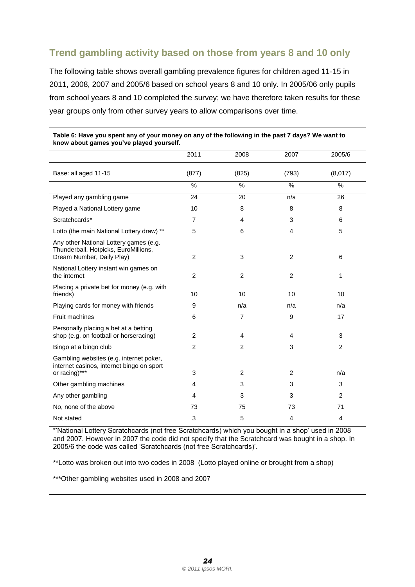### <span id="page-29-0"></span>**Trend gambling activity based on those from years 8 and 10 only**

The following table shows overall gambling prevalence figures for children aged 11-15 in 2011, 2008, 2007 and 2005/6 based on school years 8 and 10 only. In 2005/06 only pupils from school years 8 and 10 completed the survey; we have therefore taken results for these year groups only from other survey years to allow comparisons over time.

|                                                                                                             | 2011           | 2008           | 2007           | 2005/6         |
|-------------------------------------------------------------------------------------------------------------|----------------|----------------|----------------|----------------|
| Base: all aged 11-15                                                                                        | (877)          | (825)          | (793)          | (8,017)        |
|                                                                                                             | $\frac{0}{0}$  | %              | %              | $\%$           |
| Played any gambling game                                                                                    | 24             | 20             | n/a            | 26             |
| Played a National Lottery game                                                                              | 10             | 8              | 8              | 8              |
| Scratchcards*                                                                                               | $\overline{7}$ | 4              | 3              | 6              |
| Lotto (the main National Lottery draw) **                                                                   | 5              | 6              | 4              | 5              |
| Any other National Lottery games (e.g.<br>Thunderball, Hotpicks, EuroMillions,<br>Dream Number, Daily Play) | $\overline{2}$ | 3              | $\overline{c}$ | 6              |
| National Lottery instant win games on<br>the internet                                                       | $\overline{2}$ | $\overline{c}$ | $\overline{2}$ | 1              |
| Placing a private bet for money (e.g. with<br>friends)                                                      | 10             | 10             | 10             | 10             |
| Playing cards for money with friends                                                                        | 9              | n/a            | n/a            | n/a            |
| <b>Fruit machines</b>                                                                                       | 6              | 7              | 9              | 17             |
| Personally placing a bet at a betting<br>shop (e.g. on football or horseracing)                             | 2              | 4              | 4              | 3              |
| Bingo at a bingo club                                                                                       | 2              | $\overline{2}$ | 3              | $\overline{2}$ |
| Gambling websites (e.g. internet poker,<br>internet casinos, internet bingo on sport<br>or racing)***       | 3              | $\overline{c}$ | 2              | n/a            |
| Other gambling machines                                                                                     | 4              | 3              | 3              | 3              |
| Any other gambling                                                                                          | 4              | 3              | 3              | $\overline{2}$ |
| No, none of the above                                                                                       | 73             | 75             | 73             | 71             |
| Not stated                                                                                                  | 3              | 5              | 4              | 4              |

#### **Table 6: Have you spent any of your money on any of the following in the past 7 days? We want to know about games you've played yourself.**

\*"National Lottery Scratchcards (not free Scratchcards) which you bought in a shop" used in 2008 and 2007. However in 2007 the code did not specify that the Scratchcard was bought in a shop. In 2005/6 the code was called "Scratchcards (not free Scratchcards)".

\*\*Lotto was broken out into two codes in 2008 (Lotto played online or brought from a shop)

\*\*\*Other gambling websites used in 2008 and 2007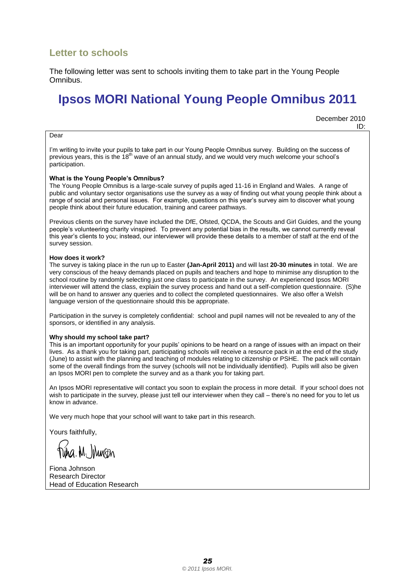#### <span id="page-30-0"></span>**Letter to schools**

The following letter was sent to schools inviting them to take part in the Young People Omnibus.

# **Ipsos MORI National Young People Omnibus 2011**

December 2010 ID:

#### Dear

I"m writing to invite your pupils to take part in our Young People Omnibus survey. Building on the success of previous years, this is the 18<sup>th</sup> wave of an annual study, and we would very much welcome your school's participation.

#### **What is the Young People's Omnibus?**

The Young People Omnibus is a large-scale survey of pupils aged 11-16 in England and Wales. A range of public and voluntary sector organisations use the survey as a way of finding out what young people think about a range of social and personal issues. For example, questions on this year"s survey aim to discover what young people think about their future education, training and career pathways.

Previous clients on the survey have included the DfE, Ofsted, QCDA, the Scouts and Girl Guides, and the young people"s volunteering charity vinspired. To prevent any potential bias in the results, we cannot currently reveal this year"s clients to you; instead, our interviewer will provide these details to a member of staff at the end of the survey session.

#### **How does it work?**

The survey is taking place in the run up to Easter **(Jan-April 2011)** and will last **20-30 minutes** in total. We are very conscious of the heavy demands placed on pupils and teachers and hope to minimise any disruption to the school routine by randomly selecting just one class to participate in the survey. An experienced Ipsos MORI interviewer will attend the class, explain the survey process and hand out a self-completion questionnaire. (S)he will be on hand to answer any queries and to collect the completed questionnaires. We also offer a Welsh language version of the questionnaire should this be appropriate.

Participation in the survey is completely confidential: school and pupil names will not be revealed to any of the sponsors, or identified in any analysis.

#### **Why should my school take part?**

This is an important opportunity for your pupils" opinions to be heard on a range of issues with an impact on their lives. As a thank you for taking part, participating schools will receive a resource pack in at the end of the study (June) to assist with the planning and teaching of modules relating to citizenship or PSHE. The pack will contain some of the overall findings from the survey (schools will not be individually identified). Pupils will also be given an Ipsos MORI pen to complete the survey and as a thank you for taking part.

An Ipsos MORI representative will contact you soon to explain the process in more detail. If your school does not wish to participate in the survey, please just tell our interviewer when they call – there's no need for you to let us know in advance.

We very much hope that your school will want to take part in this research.

Yours faithfully,

Fiona Johnson Research Director Head of Education Research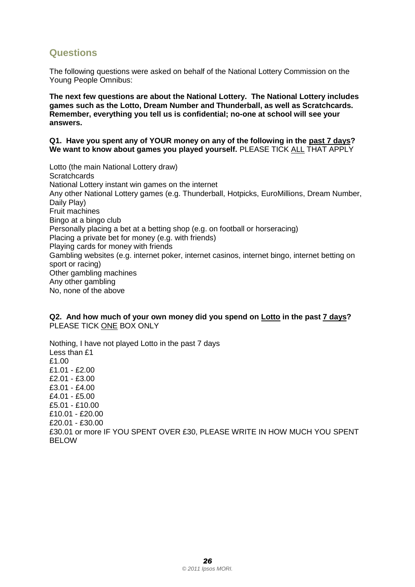#### <span id="page-31-0"></span>**Questions**

The following questions were asked on behalf of the National Lottery Commission on the Young People Omnibus:

**The next few questions are about the National Lottery. The National Lottery includes games such as the Lotto, Dream Number and Thunderball, as well as Scratchcards. Remember, everything you tell us is confidential; no-one at school will see your answers.**

#### **Q1. Have you spent any of YOUR money on any of the following in the past 7 days? We want to know about games you played yourself.** PLEASE TICK ALL THAT APPLY

Lotto (the main National Lottery draw) **Scratchcards** National Lottery instant win games on the internet Any other National Lottery games (e.g. Thunderball, Hotpicks, EuroMillions, Dream Number, Daily Play) Fruit machines Bingo at a bingo club Personally placing a bet at a betting shop (e.g. on football or horseracing) Placing a private bet for money (e.g. with friends) Playing cards for money with friends Gambling websites (e.g. internet poker, internet casinos, internet bingo, internet betting on sport or racing) Other gambling machines Any other gambling No, none of the above

**Q2. And how much of your own money did you spend on Lotto in the past 7 days?** PLEASE TICK ONE BOX ONLY

Nothing, I have not played Lotto in the past 7 days Less than £1 £1.00 £1.01 - £2.00 £2.01 - £3.00 £3.01 - £4.00 £4.01 - £5.00 £5.01 - £10.00 £10.01 - £20.00 £20.01 - £30.00 £30.01 or more IF YOU SPENT OVER £30, PLEASE WRITE IN HOW MUCH YOU SPENT BELOW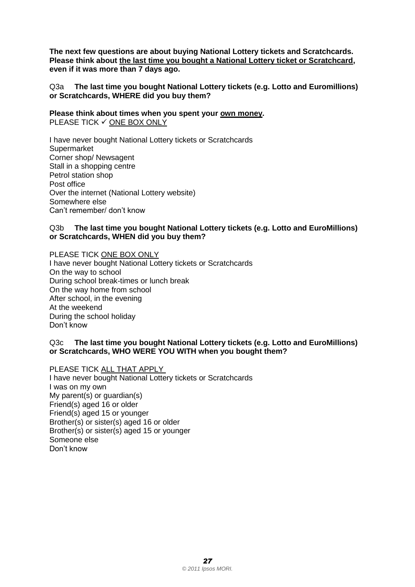**The next few questions are about buying National Lottery tickets and Scratchcards. Please think about the last time you bought a National Lottery ticket or Scratchcard, even if it was more than 7 days ago.** 

Q3a **The last time you bought National Lottery tickets (e.g. Lotto and Euromillions) or Scratchcards, WHERE did you buy them?**

**Please think about times when you spent your own money.** PLEASE TICK  $\checkmark$  ONE BOX ONLY

I have never bought National Lottery tickets or Scratchcards **Supermarket** Corner shop/ Newsagent Stall in a shopping centre Petrol station shop Post office Over the internet (National Lottery website) Somewhere else Can"t remember/ don"t know

#### Q3b **The last time you bought National Lottery tickets (e.g. Lotto and EuroMillions) or Scratchcards, WHEN did you buy them?**

PLEASE TICK ONE BOX ONLY

I have never bought National Lottery tickets or Scratchcards On the way to school During school break-times or lunch break On the way home from school After school, in the evening At the weekend During the school holiday Don"t know

#### Q3c **The last time you bought National Lottery tickets (e.g. Lotto and EuroMillions) or Scratchcards, WHO WERE YOU WITH when you bought them?**

PLEASE TICK ALL THAT APPLY

I have never bought National Lottery tickets or Scratchcards I was on my own My parent(s) or guardian(s) Friend(s) aged 16 or older Friend(s) aged 15 or younger Brother(s) or sister(s) aged 16 or older Brother(s) or sister(s) aged 15 or younger Someone else Don"t know